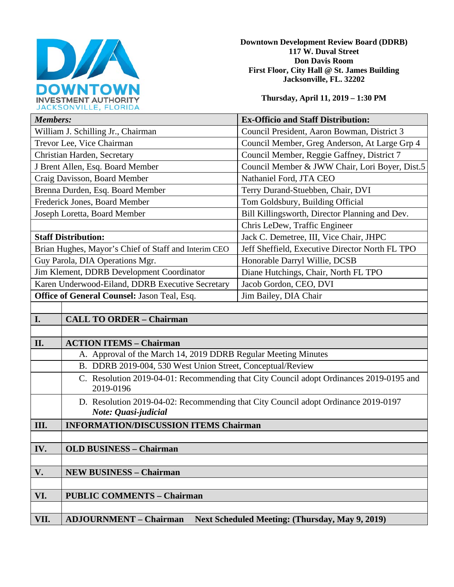

**Downtown Development Review Board (DDRB) 117 W. Duval Street Don Davis Room First Floor, City Hall @ St. James Building Jacksonville, FL. 32202** 

**Thursday, April 11, 2019 – 1:30 PM**

| JACRSON VILLE, FLORIDA                               |                                                                                         |                                                 |
|------------------------------------------------------|-----------------------------------------------------------------------------------------|-------------------------------------------------|
| <b>Members:</b>                                      |                                                                                         | <b>Ex-Officio and Staff Distribution:</b>       |
| William J. Schilling Jr., Chairman                   |                                                                                         | Council President, Aaron Bowman, District 3     |
| Trevor Lee, Vice Chairman                            |                                                                                         | Council Member, Greg Anderson, At Large Grp 4   |
| Christian Harden, Secretary                          |                                                                                         | Council Member, Reggie Gaffney, District 7      |
| J Brent Allen, Esq. Board Member                     |                                                                                         | Council Member & JWW Chair, Lori Boyer, Dist.5  |
| Craig Davisson, Board Member                         |                                                                                         | Nathaniel Ford, JTA CEO                         |
| Brenna Durden, Esq. Board Member                     |                                                                                         | Terry Durand-Stuebben, Chair, DVI               |
| Frederick Jones, Board Member                        |                                                                                         | Tom Goldsbury, Building Official                |
| Joseph Loretta, Board Member                         |                                                                                         | Bill Killingsworth, Director Planning and Dev.  |
|                                                      |                                                                                         | Chris LeDew, Traffic Engineer                   |
| <b>Staff Distribution:</b>                           |                                                                                         | Jack C. Demetree, III, Vice Chair, JHPC         |
| Brian Hughes, Mayor's Chief of Staff and Interim CEO |                                                                                         | Jeff Sheffield, Executive Director North FL TPO |
| Guy Parola, DIA Operations Mgr.                      |                                                                                         | Honorable Darryl Willie, DCSB                   |
| Jim Klement, DDRB Development Coordinator            |                                                                                         | Diane Hutchings, Chair, North FL TPO            |
| Karen Underwood-Eiland, DDRB Executive Secretary     |                                                                                         | Jacob Gordon, CEO, DVI                          |
| Office of General Counsel: Jason Teal, Esq.          |                                                                                         | Jim Bailey, DIA Chair                           |
|                                                      |                                                                                         |                                                 |
| I.                                                   | <b>CALL TO ORDER - Chairman</b>                                                         |                                                 |
|                                                      |                                                                                         |                                                 |
| II.                                                  | <b>ACTION ITEMS - Chairman</b>                                                          |                                                 |
|                                                      | A. Approval of the March 14, 2019 DDRB Regular Meeting Minutes                          |                                                 |
|                                                      | B. DDRB 2019-004, 530 West Union Street, Conceptual/Review                              |                                                 |
|                                                      | C. Resolution 2010 04 01: Recommending that City Council adopt Ordinances 2010 0105 and |                                                 |

C. Resolution 2019-04-01: Recommending that City Council adopt Ordinances 2019-0195 and 2019-0196

D. Resolution 2019-04-02: Recommending that City Council adopt Ordinance 2019-0197 *Note: Quasi-judicial* 

**III. INFORMATION/DISCUSSION ITEMS Chairman**

**IV. OLD BUSINESS – Chairman V. NEW BUSINESS – Chairman** 

**VI. PUBLIC COMMENTS – Chairman VII. ADJOURNMENT – Chairman Next Scheduled Meeting: (Thursday, May 9, 2019)**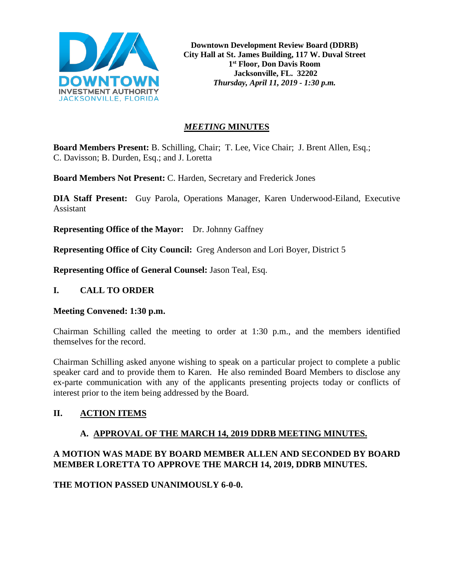

**Downtown Development Review Board (DDRB) City Hall at St. James Building, 117 W. Duval Street 1st Floor, Don Davis Room Jacksonville, FL. 32202** *Thursday, April 11, 2019 - 1:30 p.m.*

# *MEETING* **MINUTES**

**Board Members Present:** B. Schilling, Chair; T. Lee, Vice Chair; J. Brent Allen, Esq.; C. Davisson; B. Durden, Esq.; and J. Loretta

**Board Members Not Present:** C. Harden, Secretary and Frederick Jones

**DIA Staff Present:** Guy Parola, Operations Manager, Karen Underwood-Eiland, Executive Assistant

**Representing Office of the Mayor:** Dr. Johnny Gaffney

**Representing Office of City Council:** Greg Anderson and Lori Boyer, District 5

**Representing Office of General Counsel:** Jason Teal, Esq.

### **I. CALL TO ORDER**

### **Meeting Convened: 1:30 p.m.**

Chairman Schilling called the meeting to order at 1:30 p.m., and the members identified themselves for the record.

Chairman Schilling asked anyone wishing to speak on a particular project to complete a public speaker card and to provide them to Karen. He also reminded Board Members to disclose any ex-parte communication with any of the applicants presenting projects today or conflicts of interest prior to the item being addressed by the Board.

# **II. ACTION ITEMS**

### **A. APPROVAL OF THE MARCH 14, 2019 DDRB MEETING MINUTES.**

# **A MOTION WAS MADE BY BOARD MEMBER ALLEN AND SECONDED BY BOARD MEMBER LORETTA TO APPROVE THE MARCH 14, 2019, DDRB MINUTES.**

**THE MOTION PASSED UNANIMOUSLY 6-0-0.**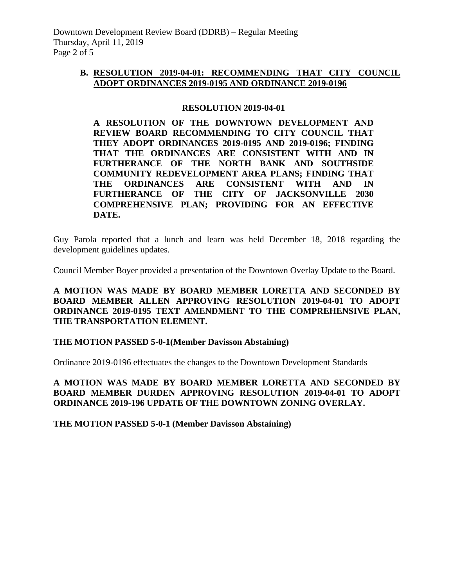### **B. RESOLUTION 2019-04-01: RECOMMENDING THAT CITY COUNCIL ADOPT ORDINANCES 2019-0195 AND ORDINANCE 2019-0196**

### **RESOLUTION 2019-04-01**

**A RESOLUTION OF THE DOWNTOWN DEVELOPMENT AND REVIEW BOARD RECOMMENDING TO CITY COUNCIL THAT THEY ADOPT ORDINANCES 2019-0195 AND 2019-0196; FINDING THAT THE ORDINANCES ARE CONSISTENT WITH AND IN FURTHERANCE OF THE NORTH BANK AND SOUTHSIDE COMMUNITY REDEVELOPMENT AREA PLANS; FINDING THAT THE ORDINANCES ARE CONSISTENT WITH AND IN FURTHERANCE OF THE CITY OF JACKSONVILLE 2030 COMPREHENSIVE PLAN; PROVIDING FOR AN EFFECTIVE DATE.**

Guy Parola reported that a lunch and learn was held December 18, 2018 regarding the development guidelines updates.

Council Member Boyer provided a presentation of the Downtown Overlay Update to the Board.

**A MOTION WAS MADE BY BOARD MEMBER LORETTA AND SECONDED BY BOARD MEMBER ALLEN APPROVING RESOLUTION 2019-04-01 TO ADOPT ORDINANCE 2019-0195 TEXT AMENDMENT TO THE COMPREHENSIVE PLAN, THE TRANSPORTATION ELEMENT.** 

### **THE MOTION PASSED 5-0-1(Member Davisson Abstaining)**

Ordinance 2019-0196 effectuates the changes to the Downtown Development Standards

**A MOTION WAS MADE BY BOARD MEMBER LORETTA AND SECONDED BY BOARD MEMBER DURDEN APPROVING RESOLUTION 2019-04-01 TO ADOPT ORDINANCE 2019-196 UPDATE OF THE DOWNTOWN ZONING OVERLAY.**

**THE MOTION PASSED 5-0-1 (Member Davisson Abstaining)**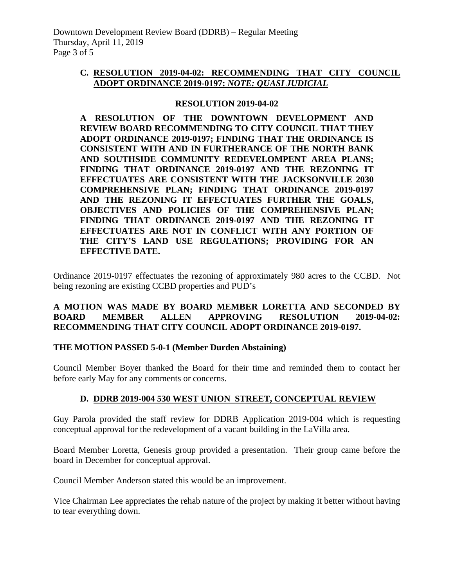# **C. RESOLUTION 2019-04-02: RECOMMENDING THAT CITY COUNCIL ADOPT ORDINANCE 2019-0197:** *NOTE: QUASI JUDICIAL*

### **RESOLUTION 2019-04-02**

**A RESOLUTION OF THE DOWNTOWN DEVELOPMENT AND REVIEW BOARD RECOMMENDING TO CITY COUNCIL THAT THEY ADOPT ORDINANCE 2019-0197; FINDING THAT THE ORDINANCE IS CONSISTENT WITH AND IN FURTHERANCE OF THE NORTH BANK AND SOUTHSIDE COMMUNITY REDEVELOMPENT AREA PLANS; FINDING THAT ORDINANCE 2019-0197 AND THE REZONING IT EFFECTUATES ARE CONSISTENT WITH THE JACKSONVILLE 2030 COMPREHENSIVE PLAN; FINDING THAT ORDINANCE 2019-0197 AND THE REZONING IT EFFECTUATES FURTHER THE GOALS, OBJECTIVES AND POLICIES OF THE COMPREHENSIVE PLAN; FINDING THAT ORDINANCE 2019-0197 AND THE REZONING IT EFFECTUATES ARE NOT IN CONFLICT WITH ANY PORTION OF THE CITY'S LAND USE REGULATIONS; PROVIDING FOR AN EFFECTIVE DATE.**

Ordinance 2019-0197 effectuates the rezoning of approximately 980 acres to the CCBD. Not being rezoning are existing CCBD properties and PUD's

# **A MOTION WAS MADE BY BOARD MEMBER LORETTA AND SECONDED BY BOARD MEMBER ALLEN APPROVING RESOLUTION 2019-04-02: RECOMMENDING THAT CITY COUNCIL ADOPT ORDINANCE 2019-0197.**

### **THE MOTION PASSED 5-0-1 (Member Durden Abstaining)**

Council Member Boyer thanked the Board for their time and reminded them to contact her before early May for any comments or concerns.

# **D. DDRB 2019-004 530 WEST UNION STREET, CONCEPTUAL REVIEW**

Guy Parola provided the staff review for DDRB Application 2019-004 which is requesting conceptual approval for the redevelopment of a vacant building in the LaVilla area.

Board Member Loretta, Genesis group provided a presentation. Their group came before the board in December for conceptual approval.

Council Member Anderson stated this would be an improvement.

Vice Chairman Lee appreciates the rehab nature of the project by making it better without having to tear everything down.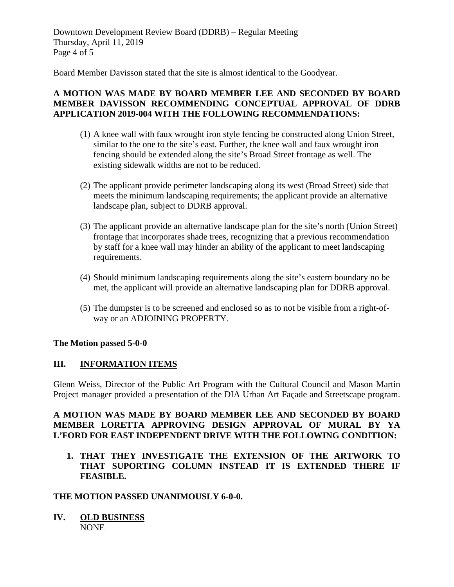Downtown Development Review Board (DDRB) – Regular Meeting Thursday, April 11, 2019 Page 4 of 5

Board Member Davisson stated that the site is almost identical to the Goodyear.

# **A MOTION WAS MADE BY BOARD MEMBER LEE AND SECONDED BY BOARD MEMBER DAVISSON RECOMMENDING CONCEPTUAL APPROVAL OF DDRB APPLICATION 2019-004 WITH THE FOLLOWING RECOMMENDATIONS:**

- (1) A knee wall with faux wrought iron style fencing be constructed along Union Street, similar to the one to the site's east. Further, the knee wall and faux wrought iron fencing should be extended along the site's Broad Street frontage as well. The existing sidewalk widths are not to be reduced.
- (2) The applicant provide perimeter landscaping along its west (Broad Street) side that meets the minimum landscaping requirements; the applicant provide an alternative landscape plan, subject to DDRB approval.
- (3) The applicant provide an alternative landscape plan for the site's north (Union Street) frontage that incorporates shade trees, recognizing that a previous recommendation by staff for a knee wall may hinder an ability of the applicant to meet landscaping requirements.
- (4) Should minimum landscaping requirements along the site's eastern boundary no be met, the applicant will provide an alternative landscaping plan for DDRB approval.
- (5) The dumpster is to be screened and enclosed so as to not be visible from a right-ofway or an ADJOINING PROPERTY.

### **The Motion passed 5-0-0**

### **III. INFORMATION ITEMS**

Glenn Weiss, Director of the Public Art Program with the Cultural Council and Mason Martin Project manager provided a presentation of the DIA Urban Art Façade and Streetscape program.

### **A MOTION WAS MADE BY BOARD MEMBER LEE AND SECONDED BY BOARD MEMBER LORETTA APPROVING DESIGN APPROVAL OF MURAL BY YA L'FORD FOR EAST INDEPENDENT DRIVE WITH THE FOLLOWING CONDITION:**

**1. THAT THEY INVESTIGATE THE EXTENSION OF THE ARTWORK TO THAT SUPORTING COLUMN INSTEAD IT IS EXTENDED THERE IF FEASIBLE.** 

### **THE MOTION PASSED UNANIMOUSLY 6-0-0.**

**IV. OLD BUSINESS** NONE